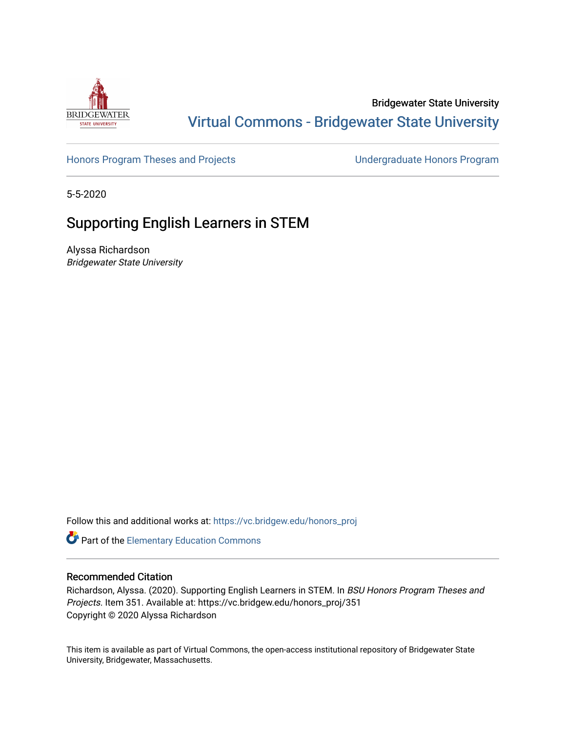

## Bridgewater State University [Virtual Commons - Bridgewater State University](https://vc.bridgew.edu/)

[Honors Program Theses and Projects](https://vc.bridgew.edu/honors_proj) [Undergraduate Honors Program](https://vc.bridgew.edu/honors) 

5-5-2020

# Supporting English Learners in STEM

Alyssa Richardson Bridgewater State University

Follow this and additional works at: [https://vc.bridgew.edu/honors\\_proj](https://vc.bridgew.edu/honors_proj?utm_source=vc.bridgew.edu%2Fhonors_proj%2F351&utm_medium=PDF&utm_campaign=PDFCoverPages)

Part of the [Elementary Education Commons](http://network.bepress.com/hgg/discipline/1378?utm_source=vc.bridgew.edu%2Fhonors_proj%2F351&utm_medium=PDF&utm_campaign=PDFCoverPages) 

## Recommended Citation

Richardson, Alyssa. (2020). Supporting English Learners in STEM. In BSU Honors Program Theses and Projects. Item 351. Available at: https://vc.bridgew.edu/honors\_proj/351 Copyright © 2020 Alyssa Richardson

This item is available as part of Virtual Commons, the open-access institutional repository of Bridgewater State University, Bridgewater, Massachusetts.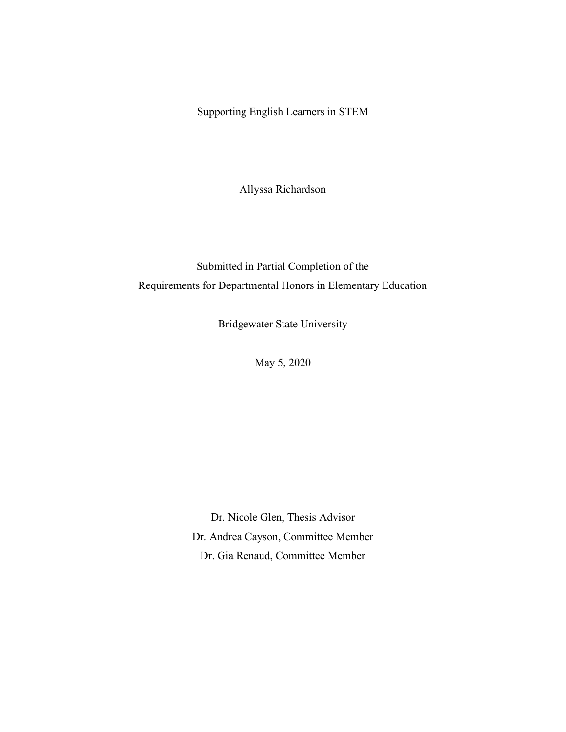Supporting English Learners in STEM

Allyssa Richardson

Submitted in Partial Completion of the Requirements for Departmental Honors in Elementary Education

Bridgewater State University

May 5, 2020

Dr. Nicole Glen, Thesis Advisor Dr. Andrea Cayson, Committee Member Dr. Gia Renaud, Committee Member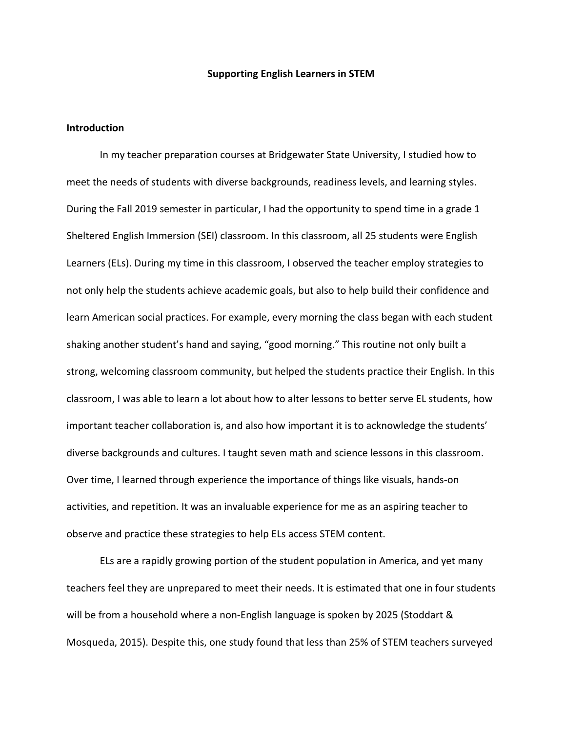#### **Supporting English Learners in STEM**

## **Introduction**

In my teacher preparation courses at Bridgewater State University, I studied how to meet the needs of students with diverse backgrounds, readiness levels, and learning styles. During the Fall 2019 semester in particular, I had the opportunity to spend time in a grade 1 Sheltered English Immersion (SEI) classroom. In this classroom, all 25 students were English Learners (ELs). During my time in this classroom, I observed the teacher employ strategies to not only help the students achieve academic goals, but also to help build their confidence and learn American social practices. For example, every morning the class began with each student shaking another student's hand and saying, "good morning." This routine not only built a strong, welcoming classroom community, but helped the students practice their English. In this classroom, I was able to learn a lot about how to alter lessons to better serve EL students, how important teacher collaboration is, and also how important it is to acknowledge the students' diverse backgrounds and cultures. I taught seven math and science lessons in this classroom. Over time, I learned through experience the importance of things like visuals, hands-on activities, and repetition. It was an invaluable experience for me as an aspiring teacher to observe and practice these strategies to help ELs access STEM content.

ELs are a rapidly growing portion of the student population in America, and yet many teachers feel they are unprepared to meet their needs. It is estimated that one in four students will be from a household where a non-English language is spoken by 2025 (Stoddart & Mosqueda, 2015). Despite this, one study found that less than 25% of STEM teachers surveyed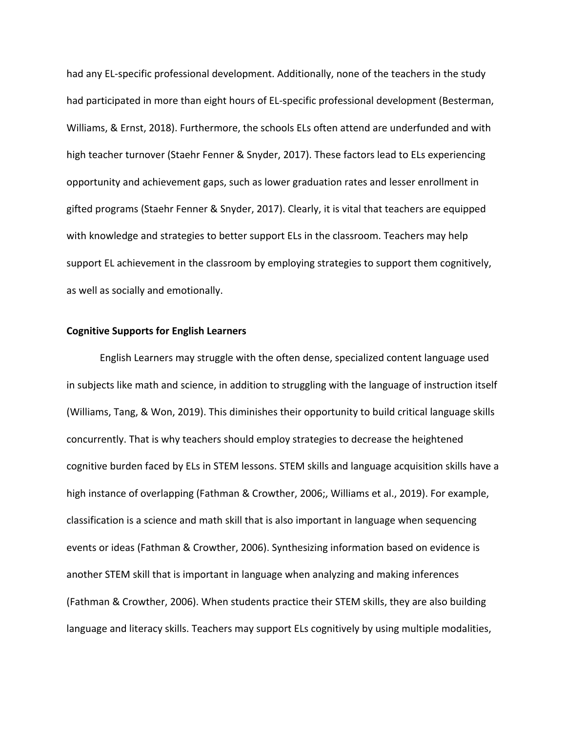had any EL-specific professional development. Additionally, none of the teachers in the study had participated in more than eight hours of EL-specific professional development (Besterman, Williams, & Ernst, 2018). Furthermore, the schools ELs often attend are underfunded and with high teacher turnover (Staehr Fenner & Snyder, 2017). These factors lead to ELs experiencing opportunity and achievement gaps, such as lower graduation rates and lesser enrollment in gifted programs (Staehr Fenner & Snyder, 2017). Clearly, it is vital that teachers are equipped with knowledge and strategies to better support ELs in the classroom. Teachers may help support EL achievement in the classroom by employing strategies to support them cognitively, as well as socially and emotionally.

#### **Cognitive Supports for English Learners**

English Learners may struggle with the often dense, specialized content language used in subjects like math and science, in addition to struggling with the language of instruction itself (Williams, Tang, & Won, 2019). This diminishes their opportunity to build critical language skills concurrently. That is why teachers should employ strategies to decrease the heightened cognitive burden faced by ELs in STEM lessons. STEM skills and language acquisition skills have a high instance of overlapping (Fathman & Crowther, 2006;, Williams et al., 2019). For example, classification is a science and math skill that is also important in language when sequencing events or ideas (Fathman & Crowther, 2006). Synthesizing information based on evidence is another STEM skill that is important in language when analyzing and making inferences (Fathman & Crowther, 2006). When students practice their STEM skills, they are also building language and literacy skills. Teachers may support ELs cognitively by using multiple modalities,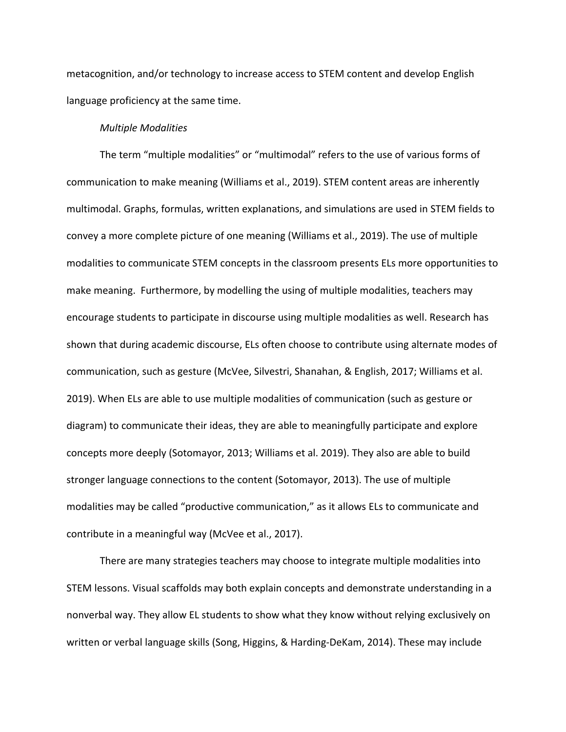metacognition, and/or technology to increase access to STEM content and develop English language proficiency at the same time.

## *Multiple Modalities*

The term "multiple modalities" or "multimodal" refers to the use of various forms of communication to make meaning (Williams et al., 2019). STEM content areas are inherently multimodal. Graphs, formulas, written explanations, and simulations are used in STEM fields to convey a more complete picture of one meaning (Williams et al., 2019). The use of multiple modalities to communicate STEM concepts in the classroom presents ELs more opportunities to make meaning. Furthermore, by modelling the using of multiple modalities, teachers may encourage students to participate in discourse using multiple modalities as well. Research has shown that during academic discourse, ELs often choose to contribute using alternate modes of communication, such as gesture (McVee, Silvestri, Shanahan, & English, 2017; Williams et al. 2019). When ELs are able to use multiple modalities of communication (such as gesture or diagram) to communicate their ideas, they are able to meaningfully participate and explore concepts more deeply (Sotomayor, 2013; Williams et al. 2019). They also are able to build stronger language connections to the content (Sotomayor, 2013). The use of multiple modalities may be called "productive communication," as it allows ELs to communicate and contribute in a meaningful way (McVee et al., 2017).

There are many strategies teachers may choose to integrate multiple modalities into STEM lessons. Visual scaffolds may both explain concepts and demonstrate understanding in a nonverbal way. They allow EL students to show what they know without relying exclusively on written or verbal language skills (Song, Higgins, & Harding-DeKam, 2014). These may include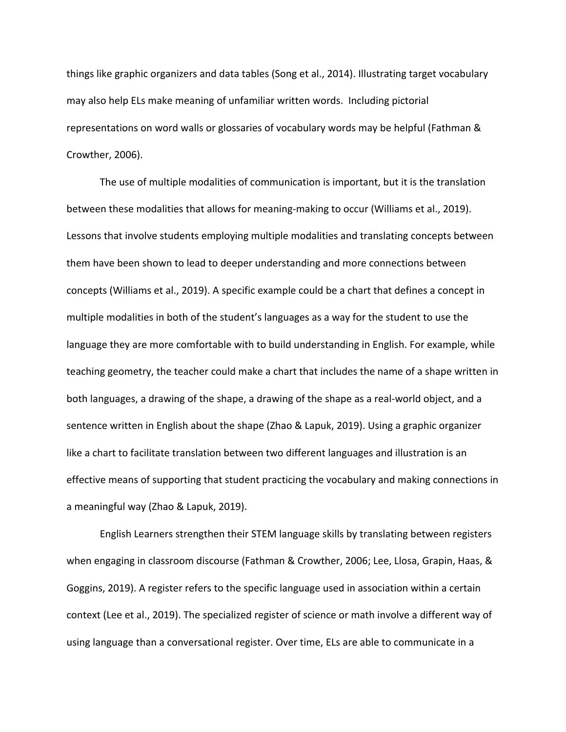things like graphic organizers and data tables (Song et al., 2014). Illustrating target vocabulary may also help ELs make meaning of unfamiliar written words. Including pictorial representations on word walls or glossaries of vocabulary words may be helpful (Fathman & Crowther, 2006).

The use of multiple modalities of communication is important, but it is the translation between these modalities that allows for meaning-making to occur (Williams et al., 2019). Lessons that involve students employing multiple modalities and translating concepts between them have been shown to lead to deeper understanding and more connections between concepts (Williams et al., 2019). A specific example could be a chart that defines a concept in multiple modalities in both of the student's languages as a way for the student to use the language they are more comfortable with to build understanding in English. For example, while teaching geometry, the teacher could make a chart that includes the name of a shape written in both languages, a drawing of the shape, a drawing of the shape as a real-world object, and a sentence written in English about the shape (Zhao & Lapuk, 2019). Using a graphic organizer like a chart to facilitate translation between two different languages and illustration is an effective means of supporting that student practicing the vocabulary and making connections in a meaningful way (Zhao & Lapuk, 2019).

English Learners strengthen their STEM language skills by translating between registers when engaging in classroom discourse (Fathman & Crowther, 2006; Lee, Llosa, Grapin, Haas, & Goggins, 2019). A register refers to the specific language used in association within a certain context (Lee et al., 2019). The specialized register of science or math involve a different way of using language than a conversational register. Over time, ELs are able to communicate in a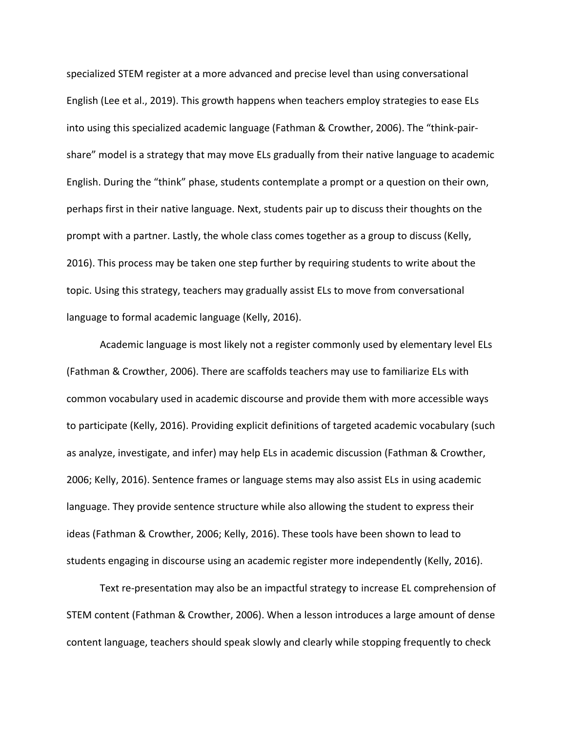specialized STEM register at a more advanced and precise level than using conversational English (Lee et al., 2019). This growth happens when teachers employ strategies to ease ELs into using this specialized academic language (Fathman & Crowther, 2006). The "think-pairshare" model is a strategy that may move ELs gradually from their native language to academic English. During the "think" phase, students contemplate a prompt or a question on their own, perhaps first in their native language. Next, students pair up to discuss their thoughts on the prompt with a partner. Lastly, the whole class comes together as a group to discuss (Kelly, 2016). This process may be taken one step further by requiring students to write about the topic. Using this strategy, teachers may gradually assist ELs to move from conversational language to formal academic language (Kelly, 2016).

Academic language is most likely not a register commonly used by elementary level ELs (Fathman & Crowther, 2006). There are scaffolds teachers may use to familiarize ELs with common vocabulary used in academic discourse and provide them with more accessible ways to participate (Kelly, 2016). Providing explicit definitions of targeted academic vocabulary (such as analyze, investigate, and infer) may help ELs in academic discussion (Fathman & Crowther, 2006; Kelly, 2016). Sentence frames or language stems may also assist ELs in using academic language. They provide sentence structure while also allowing the student to express their ideas (Fathman & Crowther, 2006; Kelly, 2016). These tools have been shown to lead to students engaging in discourse using an academic register more independently (Kelly, 2016).

Text re-presentation may also be an impactful strategy to increase EL comprehension of STEM content (Fathman & Crowther, 2006). When a lesson introduces a large amount of dense content language, teachers should speak slowly and clearly while stopping frequently to check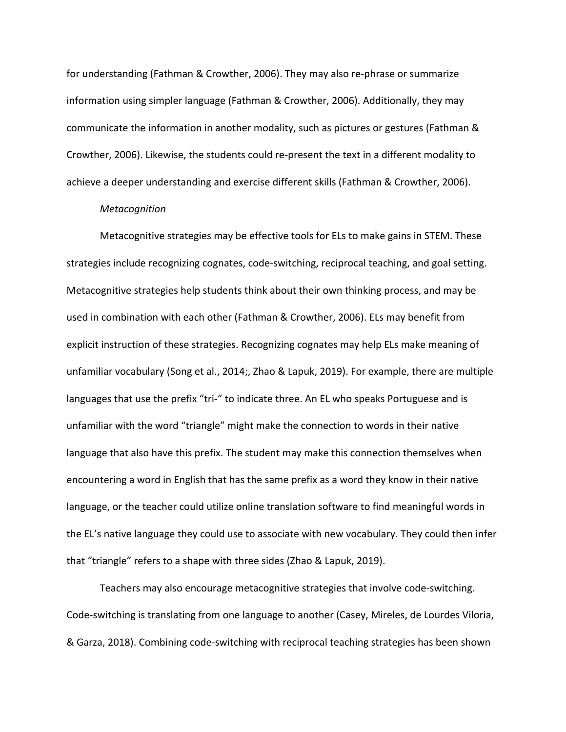for understanding (Fathman & Crowther, 2006). They may also re-phrase or summarize information using simpler language (Fathman & Crowther, 2006). Additionally, they may communicate the information in another modality, such as pictures or gestures (Fathman & Crowther, 2006). Likewise, the students could re-present the text in a different modality to achieve a deeper understanding and exercise different skills (Fathman & Crowther, 2006).

#### *Metacognition*

Metacognitive strategies may be effective tools for ELs to make gains in STEM. These strategies include recognizing cognates, code-switching, reciprocal teaching, and goal setting. Metacognitive strategies help students think about their own thinking process, and may be used in combination with each other (Fathman & Crowther, 2006). ELs may benefit from explicit instruction of these strategies. Recognizing cognates may help ELs make meaning of unfamiliar vocabulary (Song et al., 2014;, Zhao & Lapuk, 2019). For example, there are multiple languages that use the prefix "tri-" to indicate three. An EL who speaks Portuguese and is unfamiliar with the word "triangle" might make the connection to words in their native language that also have this prefix. The student may make this connection themselves when encountering a word in English that has the same prefix as a word they know in their native language, or the teacher could utilize online translation software to find meaningful words in the EL's native language they could use to associate with new vocabulary. They could then infer that "triangle" refers to a shape with three sides (Zhao & Lapuk, 2019).

Teachers may also encourage metacognitive strategies that involve code-switching. Code-switching is translating from one language to another (Casey, Mireles, de Lourdes Viloria, & Garza, 2018). Combining code-switching with reciprocal teaching strategies has been shown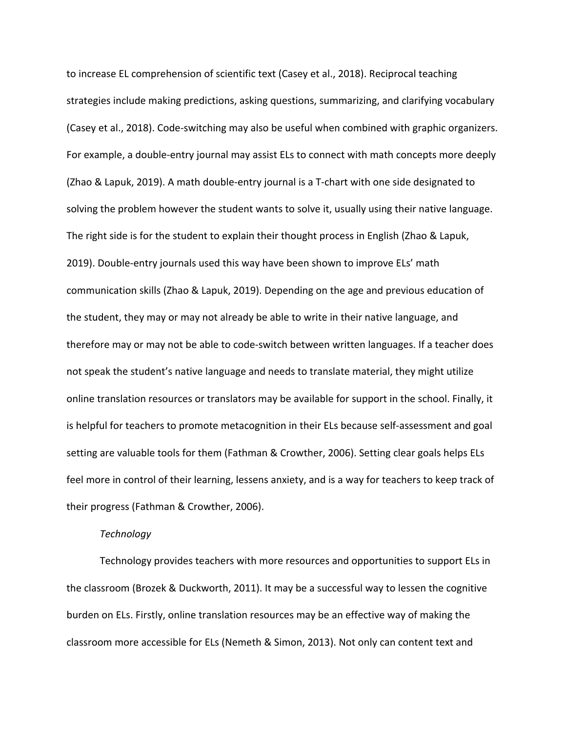to increase EL comprehension of scientific text (Casey et al., 2018). Reciprocal teaching strategies include making predictions, asking questions, summarizing, and clarifying vocabulary (Casey et al., 2018). Code-switching may also be useful when combined with graphic organizers. For example, a double-entry journal may assist ELs to connect with math concepts more deeply (Zhao & Lapuk, 2019). A math double-entry journal is a T-chart with one side designated to solving the problem however the student wants to solve it, usually using their native language. The right side is for the student to explain their thought process in English (Zhao & Lapuk, 2019). Double-entry journals used this way have been shown to improve ELs' math communication skills (Zhao & Lapuk, 2019). Depending on the age and previous education of the student, they may or may not already be able to write in their native language, and therefore may or may not be able to code-switch between written languages. If a teacher does not speak the student's native language and needs to translate material, they might utilize online translation resources or translators may be available for support in the school. Finally, it is helpful for teachers to promote metacognition in their ELs because self-assessment and goal setting are valuable tools for them (Fathman & Crowther, 2006). Setting clear goals helps ELs feel more in control of their learning, lessens anxiety, and is a way for teachers to keep track of their progress (Fathman & Crowther, 2006).

## *Technology*

Technology provides teachers with more resources and opportunities to support ELs in the classroom (Brozek & Duckworth, 2011). It may be a successful way to lessen the cognitive burden on ELs. Firstly, online translation resources may be an effective way of making the classroom more accessible for ELs (Nemeth & Simon, 2013). Not only can content text and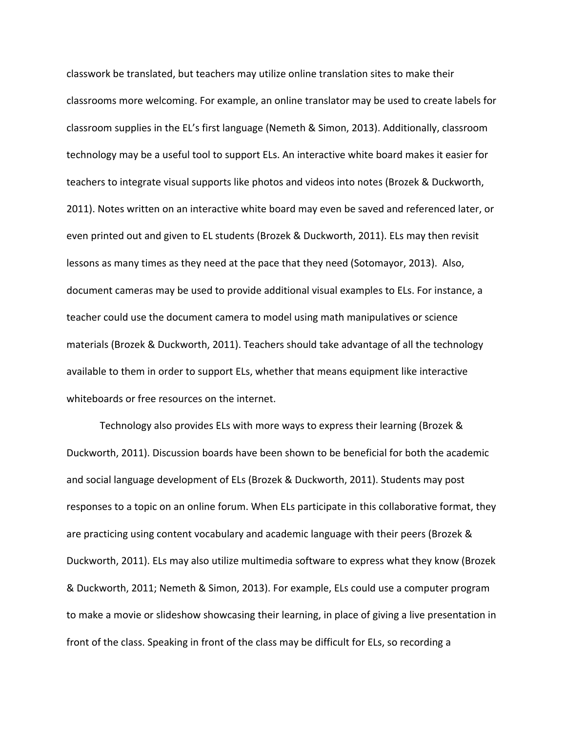classwork be translated, but teachers may utilize online translation sites to make their classrooms more welcoming. For example, an online translator may be used to create labels for classroom supplies in the EL's first language (Nemeth & Simon, 2013). Additionally, classroom technology may be a useful tool to support ELs. An interactive white board makes it easier for teachers to integrate visual supports like photos and videos into notes (Brozek & Duckworth, 2011). Notes written on an interactive white board may even be saved and referenced later, or even printed out and given to EL students (Brozek & Duckworth, 2011). ELs may then revisit lessons as many times as they need at the pace that they need (Sotomayor, 2013). Also, document cameras may be used to provide additional visual examples to ELs. For instance, a teacher could use the document camera to model using math manipulatives or science materials (Brozek & Duckworth, 2011). Teachers should take advantage of all the technology available to them in order to support ELs, whether that means equipment like interactive whiteboards or free resources on the internet.

Technology also provides ELs with more ways to express their learning (Brozek & Duckworth, 2011). Discussion boards have been shown to be beneficial for both the academic and social language development of ELs (Brozek & Duckworth, 2011). Students may post responses to a topic on an online forum. When ELs participate in this collaborative format, they are practicing using content vocabulary and academic language with their peers (Brozek & Duckworth, 2011). ELs may also utilize multimedia software to express what they know (Brozek & Duckworth, 2011; Nemeth & Simon, 2013). For example, ELs could use a computer program to make a movie or slideshow showcasing their learning, in place of giving a live presentation in front of the class. Speaking in front of the class may be difficult for ELs, so recording a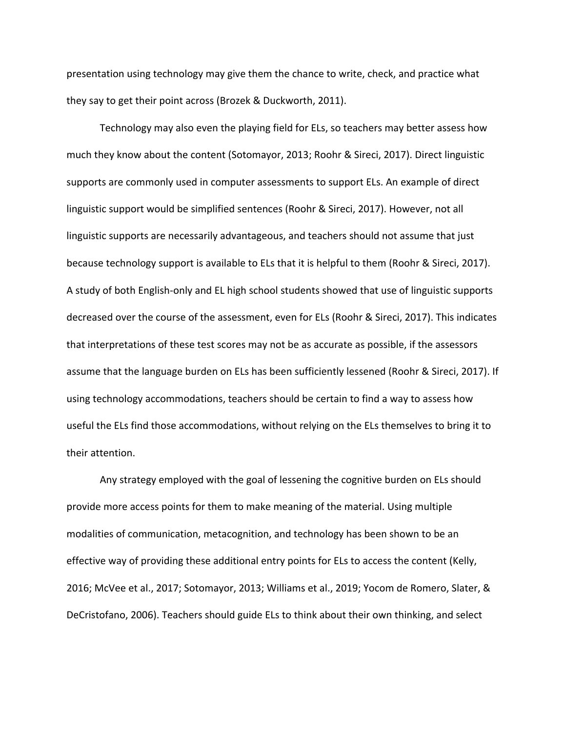presentation using technology may give them the chance to write, check, and practice what they say to get their point across (Brozek & Duckworth, 2011).

Technology may also even the playing field for ELs, so teachers may better assess how much they know about the content (Sotomayor, 2013; Roohr & Sireci, 2017). Direct linguistic supports are commonly used in computer assessments to support ELs. An example of direct linguistic support would be simplified sentences (Roohr & Sireci, 2017). However, not all linguistic supports are necessarily advantageous, and teachers should not assume that just because technology support is available to ELs that it is helpful to them (Roohr & Sireci, 2017). A study of both English-only and EL high school students showed that use of linguistic supports decreased over the course of the assessment, even for ELs (Roohr & Sireci, 2017). This indicates that interpretations of these test scores may not be as accurate as possible, if the assessors assume that the language burden on ELs has been sufficiently lessened (Roohr & Sireci, 2017). If using technology accommodations, teachers should be certain to find a way to assess how useful the ELs find those accommodations, without relying on the ELs themselves to bring it to their attention.

Any strategy employed with the goal of lessening the cognitive burden on ELs should provide more access points for them to make meaning of the material. Using multiple modalities of communication, metacognition, and technology has been shown to be an effective way of providing these additional entry points for ELs to access the content (Kelly, 2016; McVee et al., 2017; Sotomayor, 2013; Williams et al., 2019; Yocom de Romero, Slater, & DeCristofano, 2006). Teachers should guide ELs to think about their own thinking, and select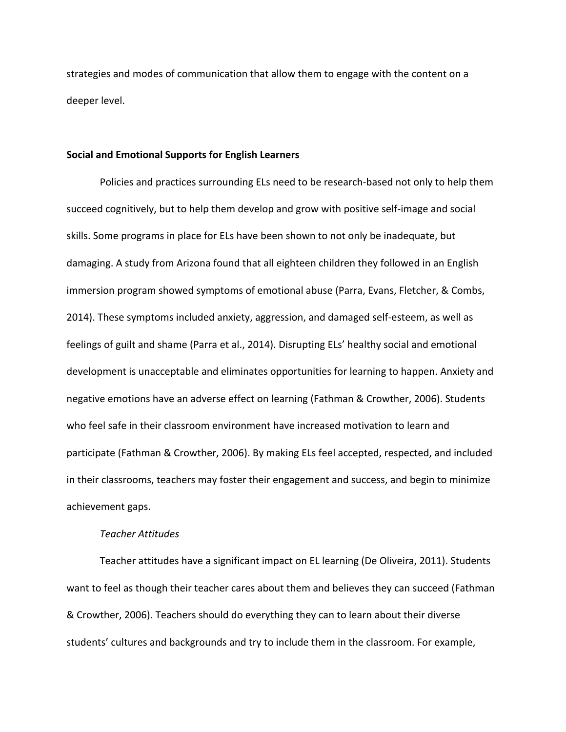strategies and modes of communication that allow them to engage with the content on a deeper level.

#### **Social and Emotional Supports for English Learners**

Policies and practices surrounding ELs need to be research-based not only to help them succeed cognitively, but to help them develop and grow with positive self-image and social skills. Some programs in place for ELs have been shown to not only be inadequate, but damaging. A study from Arizona found that all eighteen children they followed in an English immersion program showed symptoms of emotional abuse (Parra, Evans, Fletcher, & Combs, 2014). These symptoms included anxiety, aggression, and damaged self-esteem, as well as feelings of guilt and shame (Parra et al., 2014). Disrupting ELs' healthy social and emotional development is unacceptable and eliminates opportunities for learning to happen. Anxiety and negative emotions have an adverse effect on learning (Fathman & Crowther, 2006). Students who feel safe in their classroom environment have increased motivation to learn and participate (Fathman & Crowther, 2006). By making ELs feel accepted, respected, and included in their classrooms, teachers may foster their engagement and success, and begin to minimize achievement gaps.

## *Teacher Attitudes*

Teacher attitudes have a significant impact on EL learning (De Oliveira, 2011). Students want to feel as though their teacher cares about them and believes they can succeed (Fathman & Crowther, 2006). Teachers should do everything they can to learn about their diverse students' cultures and backgrounds and try to include them in the classroom. For example,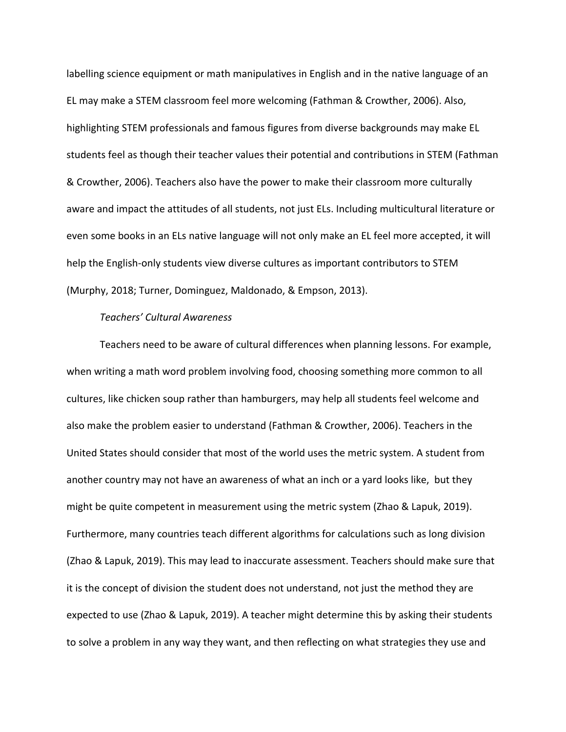labelling science equipment or math manipulatives in English and in the native language of an EL may make a STEM classroom feel more welcoming (Fathman & Crowther, 2006). Also, highlighting STEM professionals and famous figures from diverse backgrounds may make EL students feel as though their teacher values their potential and contributions in STEM (Fathman & Crowther, 2006). Teachers also have the power to make their classroom more culturally aware and impact the attitudes of all students, not just ELs. Including multicultural literature or even some books in an ELs native language will not only make an EL feel more accepted, it will help the English-only students view diverse cultures as important contributors to STEM (Murphy, 2018; Turner, Dominguez, Maldonado, & Empson, 2013).

## *Teachers' Cultural Awareness*

Teachers need to be aware of cultural differences when planning lessons. For example, when writing a math word problem involving food, choosing something more common to all cultures, like chicken soup rather than hamburgers, may help all students feel welcome and also make the problem easier to understand (Fathman & Crowther, 2006). Teachers in the United States should consider that most of the world uses the metric system. A student from another country may not have an awareness of what an inch or a yard looks like, but they might be quite competent in measurement using the metric system (Zhao & Lapuk, 2019). Furthermore, many countries teach different algorithms for calculations such as long division (Zhao & Lapuk, 2019). This may lead to inaccurate assessment. Teachers should make sure that it is the concept of division the student does not understand, not just the method they are expected to use (Zhao & Lapuk, 2019). A teacher might determine this by asking their students to solve a problem in any way they want, and then reflecting on what strategies they use and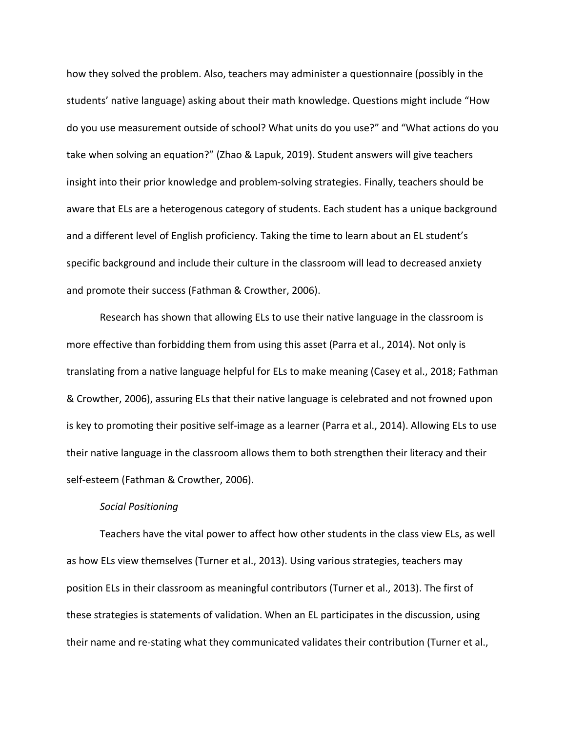how they solved the problem. Also, teachers may administer a questionnaire (possibly in the students' native language) asking about their math knowledge. Questions might include "How do you use measurement outside of school? What units do you use?" and "What actions do you take when solving an equation?" (Zhao & Lapuk, 2019). Student answers will give teachers insight into their prior knowledge and problem-solving strategies. Finally, teachers should be aware that ELs are a heterogenous category of students. Each student has a unique background and a different level of English proficiency. Taking the time to learn about an EL student's specific background and include their culture in the classroom will lead to decreased anxiety and promote their success (Fathman & Crowther, 2006).

Research has shown that allowing ELs to use their native language in the classroom is more effective than forbidding them from using this asset (Parra et al., 2014). Not only is translating from a native language helpful for ELs to make meaning (Casey et al., 2018; Fathman & Crowther, 2006), assuring ELs that their native language is celebrated and not frowned upon is key to promoting their positive self-image as a learner (Parra et al., 2014). Allowing ELs to use their native language in the classroom allows them to both strengthen their literacy and their self-esteem (Fathman & Crowther, 2006).

#### *Social Positioning*

Teachers have the vital power to affect how other students in the class view ELs, as well as how ELs view themselves (Turner et al., 2013). Using various strategies, teachers may position ELs in their classroom as meaningful contributors (Turner et al., 2013). The first of these strategies is statements of validation. When an EL participates in the discussion, using their name and re-stating what they communicated validates their contribution (Turner et al.,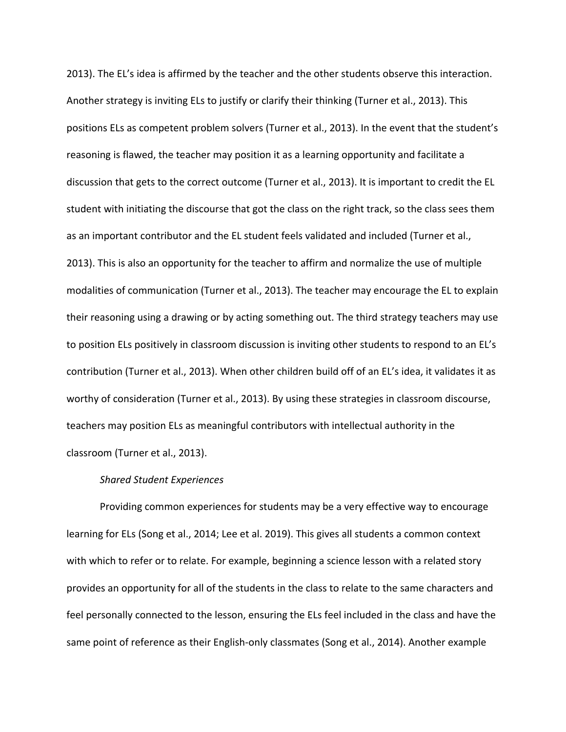2013). The EL's idea is affirmed by the teacher and the other students observe this interaction. Another strategy is inviting ELs to justify or clarify their thinking (Turner et al., 2013). This positions ELs as competent problem solvers (Turner et al., 2013). In the event that the student's reasoning is flawed, the teacher may position it as a learning opportunity and facilitate a discussion that gets to the correct outcome (Turner et al., 2013). It is important to credit the EL student with initiating the discourse that got the class on the right track, so the class sees them as an important contributor and the EL student feels validated and included (Turner et al., 2013). This is also an opportunity for the teacher to affirm and normalize the use of multiple modalities of communication (Turner et al., 2013). The teacher may encourage the EL to explain their reasoning using a drawing or by acting something out. The third strategy teachers may use to position ELs positively in classroom discussion is inviting other students to respond to an EL's contribution (Turner et al., 2013). When other children build off of an EL's idea, it validates it as worthy of consideration (Turner et al., 2013). By using these strategies in classroom discourse, teachers may position ELs as meaningful contributors with intellectual authority in the classroom (Turner et al., 2013).

## *Shared Student Experiences*

Providing common experiences for students may be a very effective way to encourage learning for ELs (Song et al., 2014; Lee et al. 2019). This gives all students a common context with which to refer or to relate. For example, beginning a science lesson with a related story provides an opportunity for all of the students in the class to relate to the same characters and feel personally connected to the lesson, ensuring the ELs feel included in the class and have the same point of reference as their English-only classmates (Song et al., 2014). Another example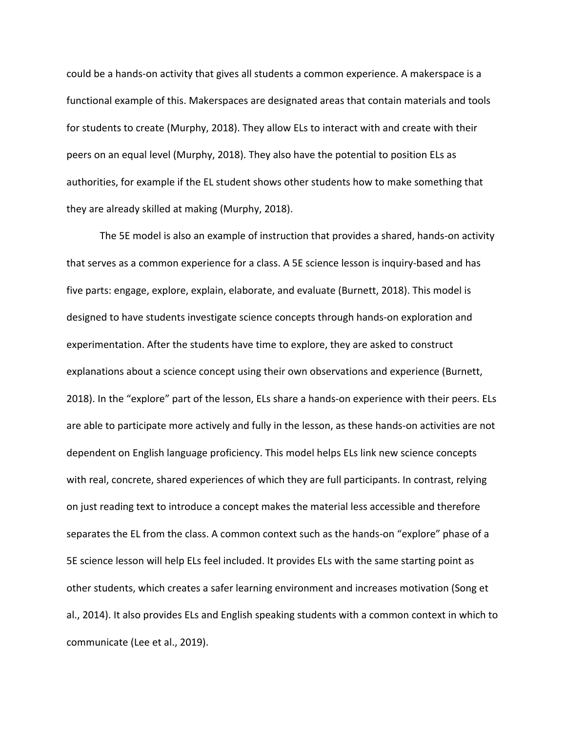could be a hands-on activity that gives all students a common experience. A makerspace is a functional example of this. Makerspaces are designated areas that contain materials and tools for students to create (Murphy, 2018). They allow ELs to interact with and create with their peers on an equal level (Murphy, 2018). They also have the potential to position ELs as authorities, for example if the EL student shows other students how to make something that they are already skilled at making (Murphy, 2018).

The 5E model is also an example of instruction that provides a shared, hands-on activity that serves as a common experience for a class. A 5E science lesson is inquiry-based and has five parts: engage, explore, explain, elaborate, and evaluate (Burnett, 2018). This model is designed to have students investigate science concepts through hands-on exploration and experimentation. After the students have time to explore, they are asked to construct explanations about a science concept using their own observations and experience (Burnett, 2018). In the "explore" part of the lesson, ELs share a hands-on experience with their peers. ELs are able to participate more actively and fully in the lesson, as these hands-on activities are not dependent on English language proficiency. This model helps ELs link new science concepts with real, concrete, shared experiences of which they are full participants. In contrast, relying on just reading text to introduce a concept makes the material less accessible and therefore separates the EL from the class. A common context such as the hands-on "explore" phase of a 5E science lesson will help ELs feel included. It provides ELs with the same starting point as other students, which creates a safer learning environment and increases motivation (Song et al., 2014). It also provides ELs and English speaking students with a common context in which to communicate (Lee et al., 2019).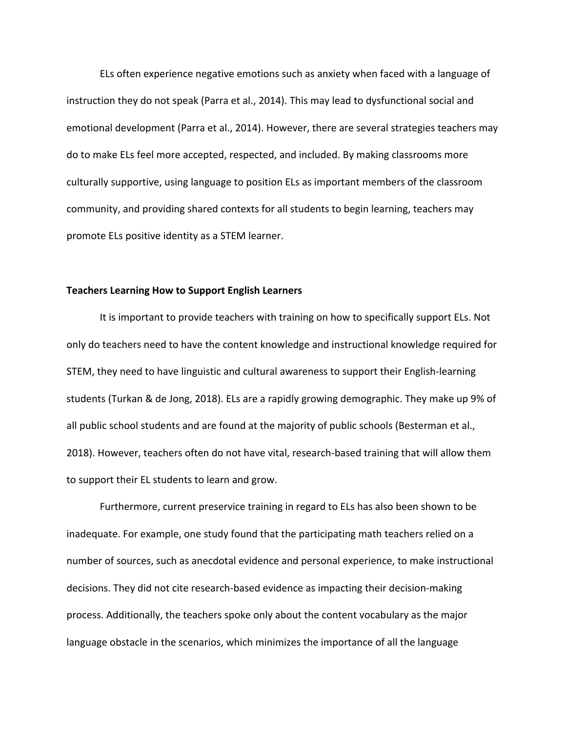ELs often experience negative emotions such as anxiety when faced with a language of instruction they do not speak (Parra et al., 2014). This may lead to dysfunctional social and emotional development (Parra et al., 2014). However, there are several strategies teachers may do to make ELs feel more accepted, respected, and included. By making classrooms more culturally supportive, using language to position ELs as important members of the classroom community, and providing shared contexts for all students to begin learning, teachers may promote ELs positive identity as a STEM learner.

## **Teachers Learning How to Support English Learners**

It is important to provide teachers with training on how to specifically support ELs. Not only do teachers need to have the content knowledge and instructional knowledge required for STEM, they need to have linguistic and cultural awareness to support their English-learning students (Turkan & de Jong, 2018). ELs are a rapidly growing demographic. They make up 9% of all public school students and are found at the majority of public schools (Besterman et al., 2018). However, teachers often do not have vital, research-based training that will allow them to support their EL students to learn and grow.

Furthermore, current preservice training in regard to ELs has also been shown to be inadequate. For example, one study found that the participating math teachers relied on a number of sources, such as anecdotal evidence and personal experience, to make instructional decisions. They did not cite research-based evidence as impacting their decision-making process. Additionally, the teachers spoke only about the content vocabulary as the major language obstacle in the scenarios, which minimizes the importance of all the language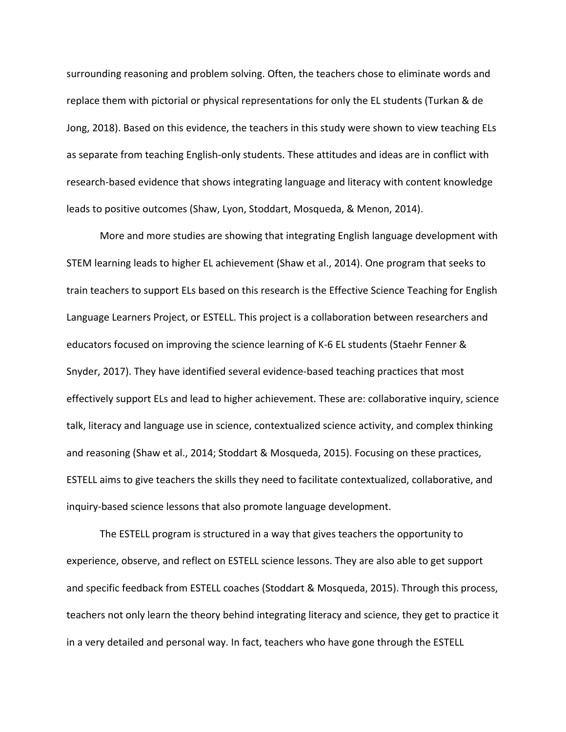surrounding reasoning and problem solving. Often, the teachers chose to eliminate words and replace them with pictorial or physical representations for only the EL students (Turkan & de Jong, 2018). Based on this evidence, the teachers in this study were shown to view teaching ELs as separate from teaching English-only students. These attitudes and ideas are in conflict with research-based evidence that shows integrating language and literacy with content knowledge leads to positive outcomes (Shaw, Lyon, Stoddart, Mosqueda, & Menon, 2014).

More and more studies are showing that integrating English language development with STEM learning leads to higher EL achievement (Shaw et al., 2014). One program that seeks to train teachers to support ELs based on this research is the Effective Science Teaching for English Language Learners Project, or ESTELL. This project is a collaboration between researchers and educators focused on improving the science learning of K-6 EL students (Staehr Fenner & Snyder, 2017). They have identified several evidence-based teaching practices that most effectively support ELs and lead to higher achievement. These are: collaborative inquiry, science talk, literacy and language use in science, contextualized science activity, and complex thinking and reasoning (Shaw et al., 2014; Stoddart & Mosqueda, 2015). Focusing on these practices, ESTELL aims to give teachers the skills they need to facilitate contextualized, collaborative, and inquiry-based science lessons that also promote language development.

The ESTELL program is structured in a way that gives teachers the opportunity to experience, observe, and reflect on ESTELL science lessons. They are also able to get support and specific feedback from ESTELL coaches (Stoddart & Mosqueda, 2015). Through this process, teachers not only learn the theory behind integrating literacy and science, they get to practice it in a very detailed and personal way. In fact, teachers who have gone through the ESTELL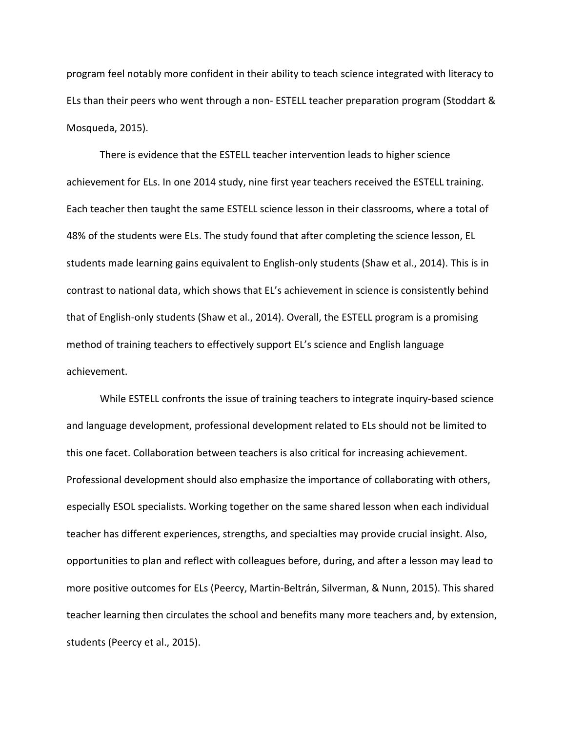program feel notably more confident in their ability to teach science integrated with literacy to ELs than their peers who went through a non- ESTELL teacher preparation program (Stoddart & Mosqueda, 2015).

There is evidence that the ESTELL teacher intervention leads to higher science achievement for ELs. In one 2014 study, nine first year teachers received the ESTELL training. Each teacher then taught the same ESTELL science lesson in their classrooms, where a total of 48% of the students were ELs. The study found that after completing the science lesson, EL students made learning gains equivalent to English-only students (Shaw et al., 2014). This is in contrast to national data, which shows that EL's achievement in science is consistently behind that of English-only students (Shaw et al., 2014). Overall, the ESTELL program is a promising method of training teachers to effectively support EL's science and English language achievement.

While ESTELL confronts the issue of training teachers to integrate inquiry-based science and language development, professional development related to ELs should not be limited to this one facet. Collaboration between teachers is also critical for increasing achievement. Professional development should also emphasize the importance of collaborating with others, especially ESOL specialists. Working together on the same shared lesson when each individual teacher has different experiences, strengths, and specialties may provide crucial insight. Also, opportunities to plan and reflect with colleagues before, during, and after a lesson may lead to more positive outcomes for ELs (Peercy, Martin-Beltrán, Silverman, & Nunn, 2015). This shared teacher learning then circulates the school and benefits many more teachers and, by extension, students (Peercy et al., 2015).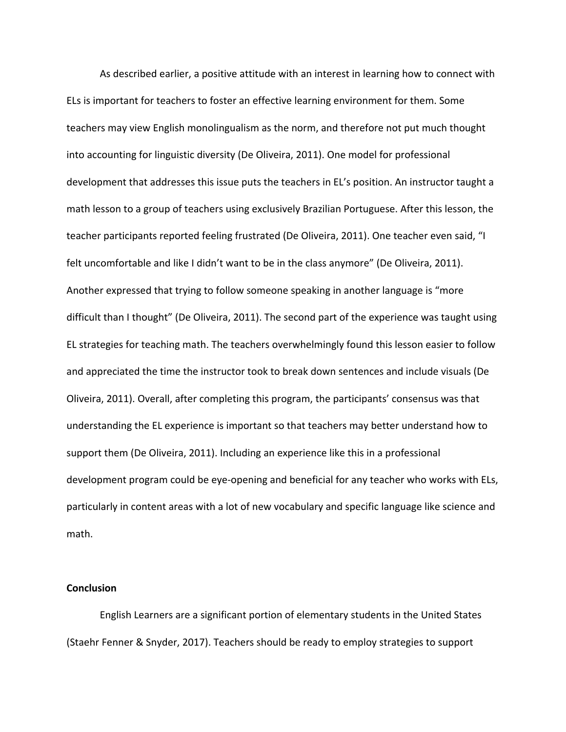As described earlier, a positive attitude with an interest in learning how to connect with ELs is important for teachers to foster an effective learning environment for them. Some teachers may view English monolingualism as the norm, and therefore not put much thought into accounting for linguistic diversity (De Oliveira, 2011). One model for professional development that addresses this issue puts the teachers in EL's position. An instructor taught a math lesson to a group of teachers using exclusively Brazilian Portuguese. After this lesson, the teacher participants reported feeling frustrated (De Oliveira, 2011). One teacher even said, "I felt uncomfortable and like I didn't want to be in the class anymore" (De Oliveira, 2011). Another expressed that trying to follow someone speaking in another language is "more difficult than I thought" (De Oliveira, 2011). The second part of the experience was taught using EL strategies for teaching math. The teachers overwhelmingly found this lesson easier to follow and appreciated the time the instructor took to break down sentences and include visuals (De Oliveira, 2011). Overall, after completing this program, the participants' consensus was that understanding the EL experience is important so that teachers may better understand how to support them (De Oliveira, 2011). Including an experience like this in a professional development program could be eye-opening and beneficial for any teacher who works with ELs, particularly in content areas with a lot of new vocabulary and specific language like science and math.

#### **Conclusion**

English Learners are a significant portion of elementary students in the United States (Staehr Fenner & Snyder, 2017). Teachers should be ready to employ strategies to support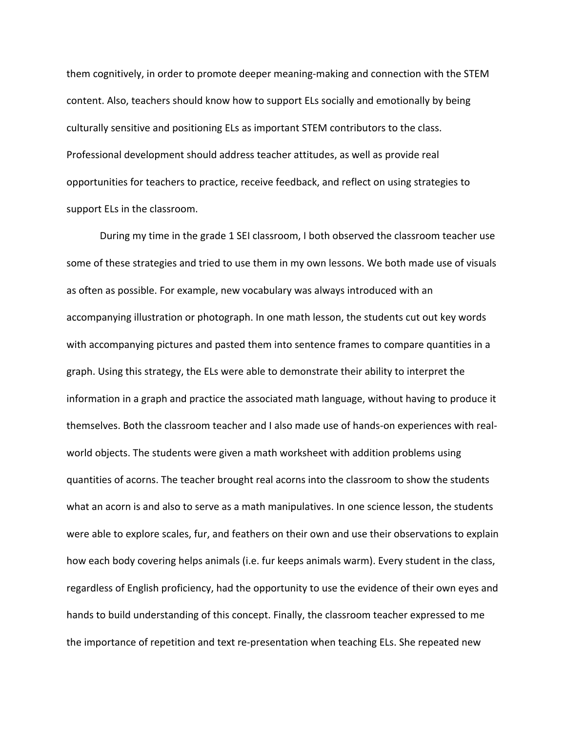them cognitively, in order to promote deeper meaning-making and connection with the STEM content. Also, teachers should know how to support ELs socially and emotionally by being culturally sensitive and positioning ELs as important STEM contributors to the class. Professional development should address teacher attitudes, as well as provide real opportunities for teachers to practice, receive feedback, and reflect on using strategies to support ELs in the classroom.

During my time in the grade 1 SEI classroom, I both observed the classroom teacher use some of these strategies and tried to use them in my own lessons. We both made use of visuals as often as possible. For example, new vocabulary was always introduced with an accompanying illustration or photograph. In one math lesson, the students cut out key words with accompanying pictures and pasted them into sentence frames to compare quantities in a graph. Using this strategy, the ELs were able to demonstrate their ability to interpret the information in a graph and practice the associated math language, without having to produce it themselves. Both the classroom teacher and I also made use of hands-on experiences with realworld objects. The students were given a math worksheet with addition problems using quantities of acorns. The teacher brought real acorns into the classroom to show the students what an acorn is and also to serve as a math manipulatives. In one science lesson, the students were able to explore scales, fur, and feathers on their own and use their observations to explain how each body covering helps animals (i.e. fur keeps animals warm). Every student in the class, regardless of English proficiency, had the opportunity to use the evidence of their own eyes and hands to build understanding of this concept. Finally, the classroom teacher expressed to me the importance of repetition and text re-presentation when teaching ELs. She repeated new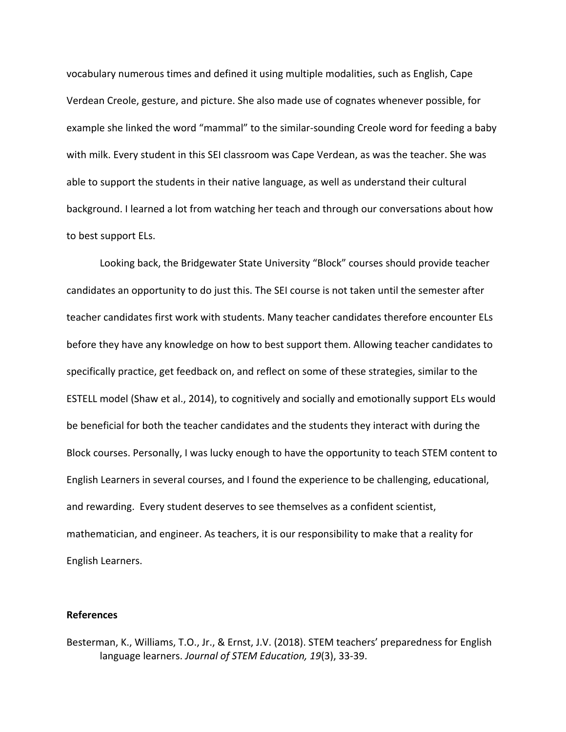vocabulary numerous times and defined it using multiple modalities, such as English, Cape Verdean Creole, gesture, and picture. She also made use of cognates whenever possible, for example she linked the word "mammal" to the similar-sounding Creole word for feeding a baby with milk. Every student in this SEI classroom was Cape Verdean, as was the teacher. She was able to support the students in their native language, as well as understand their cultural background. I learned a lot from watching her teach and through our conversations about how to best support ELs.

Looking back, the Bridgewater State University "Block" courses should provide teacher candidates an opportunity to do just this. The SEI course is not taken until the semester after teacher candidates first work with students. Many teacher candidates therefore encounter ELs before they have any knowledge on how to best support them. Allowing teacher candidates to specifically practice, get feedback on, and reflect on some of these strategies, similar to the ESTELL model (Shaw et al., 2014), to cognitively and socially and emotionally support ELs would be beneficial for both the teacher candidates and the students they interact with during the Block courses. Personally, I was lucky enough to have the opportunity to teach STEM content to English Learners in several courses, and I found the experience to be challenging, educational, and rewarding. Every student deserves to see themselves as a confident scientist, mathematician, and engineer. As teachers, it is our responsibility to make that a reality for English Learners.

## **References**

Besterman, K., Williams, T.O., Jr., & Ernst, J.V. (2018). STEM teachers' preparedness for English language learners. *Journal of STEM Education, 19*(3), 33-39.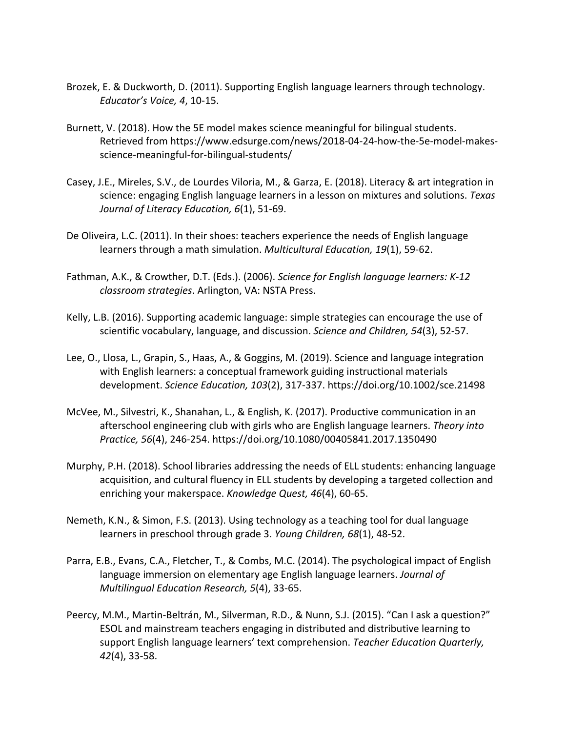- Brozek, E. & Duckworth, D. (2011). Supporting English language learners through technology. *Educator's Voice, 4*, 10-15.
- Burnett, V. (2018). How the 5E model makes science meaningful for bilingual students. Retrieved from https://www.edsurge.com/news/2018-04-24-how-the-5e-model-makesscience-meaningful-for-bilingual-students/
- Casey, J.E., Mireles, S.V., de Lourdes Viloria, M., & Garza, E. (2018). Literacy & art integration in science: engaging English language learners in a lesson on mixtures and solutions. *Texas Journal of Literacy Education, 6*(1), 51-69.
- De Oliveira, L.C. (2011). In their shoes: teachers experience the needs of English language learners through a math simulation. *Multicultural Education, 19*(1), 59-62.
- Fathman, A.K., & Crowther, D.T. (Eds.). (2006). *Science for English language learners: K-12 classroom strategies*. Arlington, VA: NSTA Press.
- Kelly, L.B. (2016). Supporting academic language: simple strategies can encourage the use of scientific vocabulary, language, and discussion. *Science and Children, 54*(3), 52-57.
- Lee, O., Llosa, L., Grapin, S., Haas, A., & Goggins, M. (2019). Science and language integration with English learners: a conceptual framework guiding instructional materials development. *Science Education, 103*(2), 317-337. https://doi.org/10.1002/sce.21498
- McVee, M., Silvestri, K., Shanahan, L., & English, K. (2017). Productive communication in an afterschool engineering club with girls who are English language learners. *Theory into Practice, 56*(4), 246-254. https://doi.org/10.1080/00405841.2017.1350490
- Murphy, P.H. (2018). School libraries addressing the needs of ELL students: enhancing language acquisition, and cultural fluency in ELL students by developing a targeted collection and enriching your makerspace. *Knowledge Quest, 46*(4), 60-65.
- Nemeth, K.N., & Simon, F.S. (2013). Using technology as a teaching tool for dual language learners in preschool through grade 3. *Young Children, 68*(1), 48-52.
- Parra, E.B., Evans, C.A., Fletcher, T., & Combs, M.C. (2014). The psychological impact of English language immersion on elementary age English language learners. *Journal of Multilingual Education Research, 5*(4), 33-65.
- Peercy, M.M., Martin-Beltrán, M., Silverman, R.D., & Nunn, S.J. (2015). "Can I ask a question?" ESOL and mainstream teachers engaging in distributed and distributive learning to support English language learners' text comprehension. *Teacher Education Quarterly, 42*(4), 33-58.